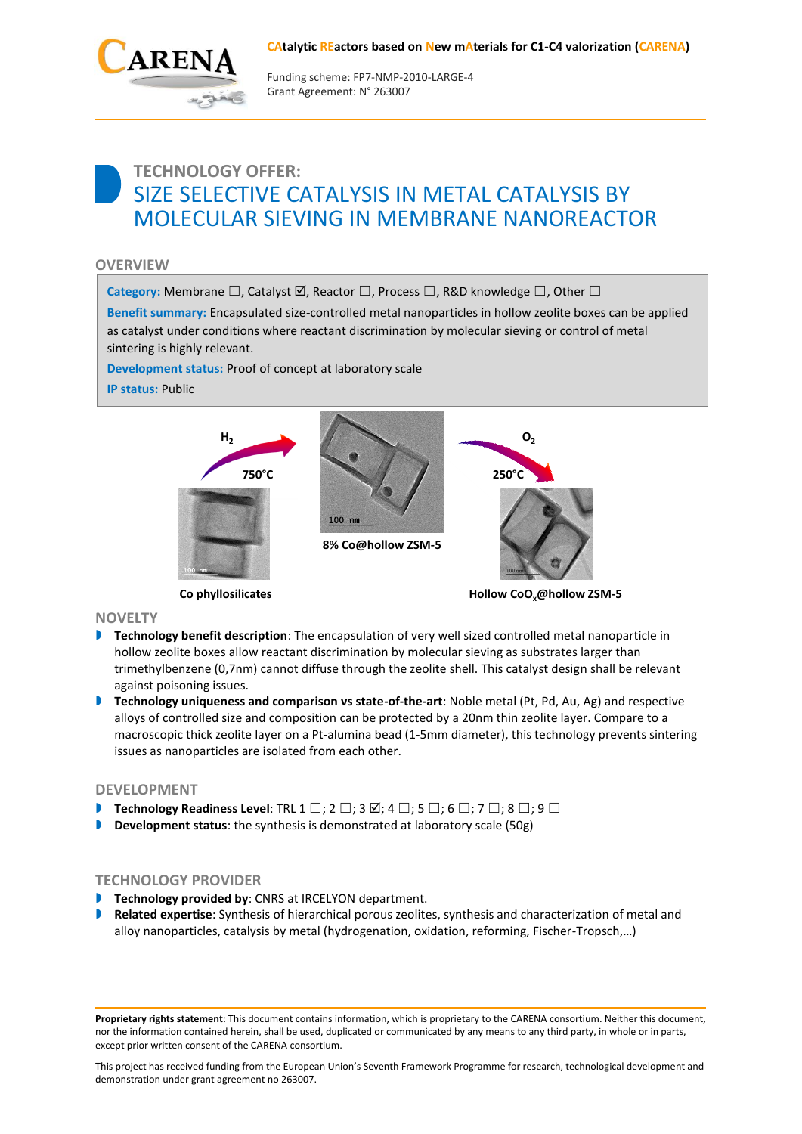#### **CAtalytic REactors based on New mAterials for C1-C4 valorization (CARENA)**



Funding scheme: FP7‐NMP‐2010‐LARGE‐4 Grant Agreement: N° 263007

# **TECHNOLOGY OFFER:** SIZE SELECTIVE CATALYSIS IN METAL CATALYSIS BY MOLECULAR SIEVING IN MEMBRANE NANOREACTOR

## **OVERVIEW**

Category: Membrane □, Catalyst **☑**, Reactor □, Process □, R&D knowledge □, Other □

**Benefit summary:** Encapsulated size-controlled metal nanoparticles in hollow zeolite boxes can be applied as catalyst under conditions where reactant discrimination by molecular sieving or control of metal sintering is highly relevant.

**Development status:** Proof of concept at laboratory scale

**IP status:** Public



**Co phyllosilicates**

**Hollow CoOx@hollow ZSM-5**

### **NOVELTY**

- **Technology benefit description**: The encapsulation of very well sized controlled metal nanoparticle in hollow zeolite boxes allow reactant discrimination by molecular sieving as substrates larger than trimethylbenzene (0,7nm) cannot diffuse through the zeolite shell. This catalyst design shall be relevant against poisoning issues.
- **Technology uniqueness and comparison vs state-of-the-art: Noble metal (Pt, Pd, Au, Ag) and respective** alloys of controlled size and composition can be protected by a 20nm thin zeolite layer. Compare to a macroscopic thick zeolite layer on a Pt-alumina bead (1-5mm diameter), this technology prevents sintering issues as nanoparticles are isolated from each other.

### **DEVELOPMENT**

- **Technology Readiness Level:** TRL 1  $\square$ ; 2  $\square$ ; 3  $\square$ ; 4  $\square$ ; 5  $\square$ ; 6  $\square$ ; 7  $\square$ ; 8  $\square$ ; 9  $\square$
- **Development status**: the synthesis is demonstrated at laboratory scale (50g)

# **TECHNOLOGY PROVIDER**

- **Technology provided by: CNRS at IRCELYON department.**
- **Related expertise**: Synthesis of hierarchical porous zeolites, synthesis and characterization of metal and alloy nanoparticles, catalysis by metal (hydrogenation, oxidation, reforming, Fischer-Tropsch,…)

**Proprietary rights statement**: This document contains information, which is proprietary to the CARENA consortium. Neither this document, nor the information contained herein, shall be used, duplicated or communicated by any means to any third party, in whole or in parts, except prior written consent of the CARENA consortium.

This project has received funding from the European Union's Seventh Framework Programme for research, technological development and demonstration under grant agreement no 263007.